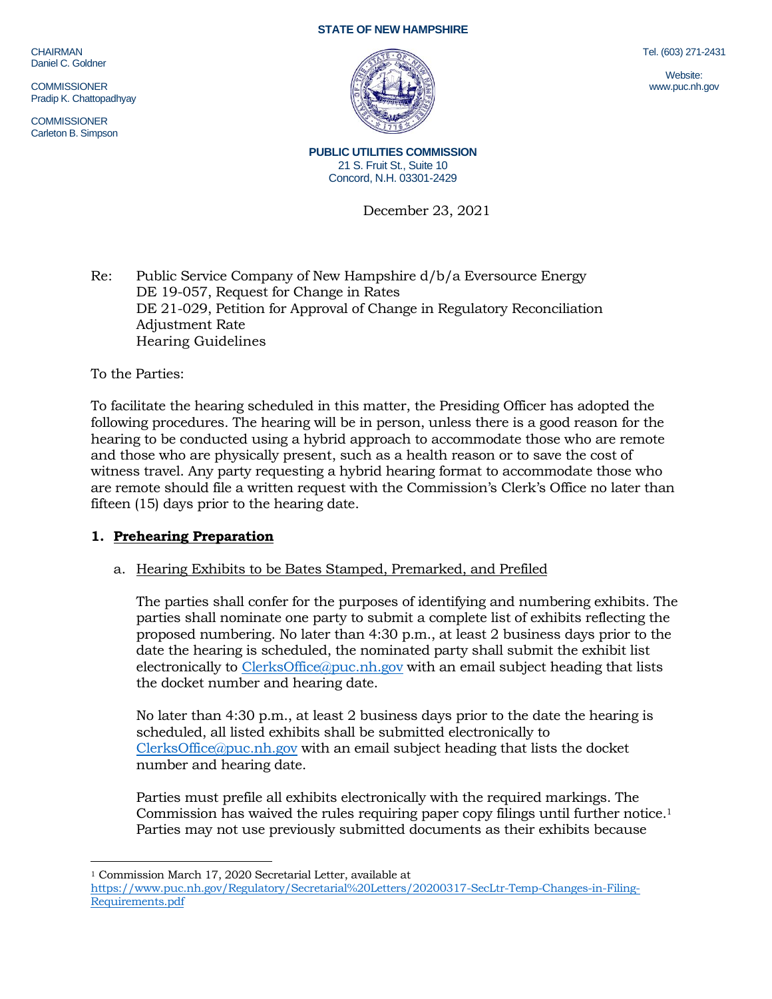CHAIRMAN Daniel C. Goldner

**COMMISSIONER** Pradip K. Chattopadhyay

**COMMISSIONER** Carleton B. Simpson

#### **STATE OF NEW HAMPSHIRE**



Tel. (603) 271-2431

Website: www.puc.nh.gov

**PUBLIC UTILITIES COMMISSION** 21 S. Fruit St., Suite 10 Concord, N.H. 03301-2429

December 23, 2021

Re: Public Service Company of New Hampshire d/b/a Eversource Energy DE 19-057, Request for Change in Rates DE 21-029, Petition for Approval of Change in Regulatory Reconciliation Adjustment Rate Hearing Guidelines

To the Parties:

To facilitate the hearing scheduled in this matter, the Presiding Officer has adopted the following procedures. The hearing will be in person, unless there is a good reason for the hearing to be conducted using a hybrid approach to accommodate those who are remote and those who are physically present, such as a health reason or to save the cost of witness travel. Any party requesting a hybrid hearing format to accommodate those who are remote should file a written request with the Commission's Clerk's Office no later than fifteen (15) days prior to the hearing date.

# **1. Prehearing Preparation**

# a. Hearing Exhibits to be Bates Stamped, Premarked, and Prefiled

The parties shall confer for the purposes of identifying and numbering exhibits. The parties shall nominate one party to submit a complete list of exhibits reflecting the proposed numbering. No later than 4:30 p.m., at least 2 business days prior to the date the hearing is scheduled, the nominated party shall submit the exhibit list electronically to [ClerksOffice@puc.nh.gov](mailto:ClerksOffice@puc.nh.gov) with an email subject heading that lists the docket number and hearing date.

No later than 4:30 p.m., at least 2 business days prior to the date the hearing is scheduled, all listed exhibits shall be submitted electronically to [ClerksOffice@puc.nh.gov](mailto:Clerks.Office@puc.nh.gov) with an email subject heading that lists the docket number and hearing date.

Parties must prefile all exhibits electronically with the required markings. The Commission has waived the rules requiring paper copy filings until further notice. 1 Parties may not use previously submitted documents as their exhibits because

<sup>1</sup> Commission March 17, 2020 Secretarial Letter, available at

[https://www.puc.nh.gov/Regulatory/Secretarial%20Letters/20200317-SecLtr-Temp-Changes-in-Filing-](https://www.puc.nh.gov/Regulatory/Secretarial%20Letters/20200317-SecLtr-Temp-Changes-in-Filing-Requirements.pdf)[Requirements.pdf](https://www.puc.nh.gov/Regulatory/Secretarial%20Letters/20200317-SecLtr-Temp-Changes-in-Filing-Requirements.pdf)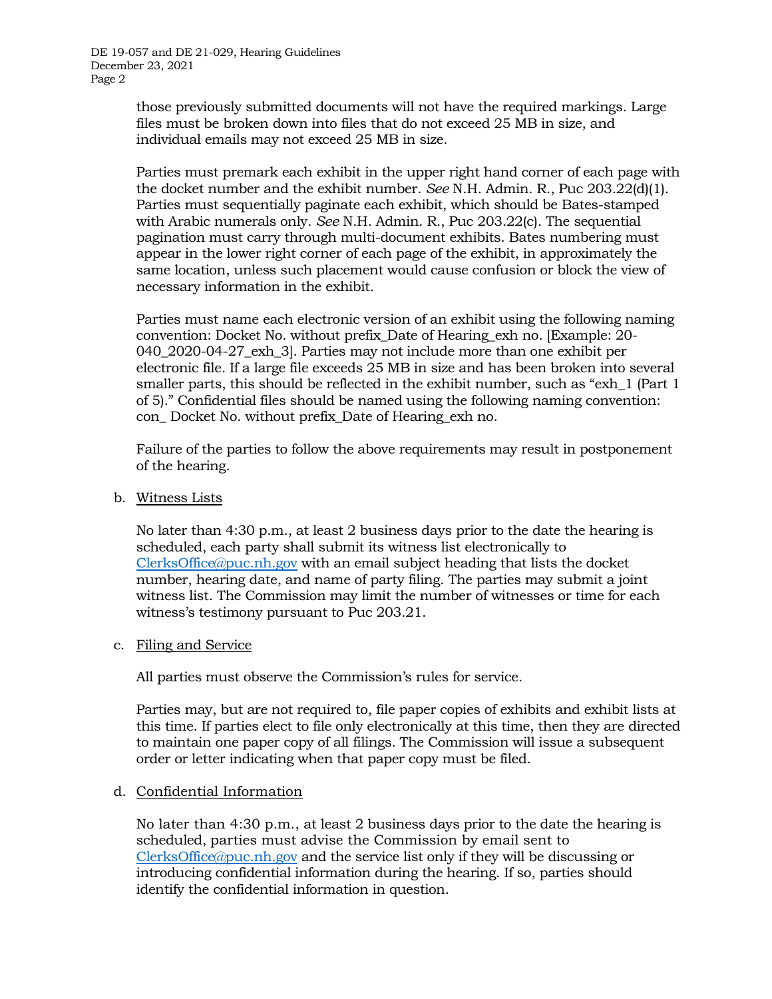those previously submitted documents will not have the required markings. Large files must be broken down into files that do not exceed 25 MB in size, and individual emails may not exceed 25 MB in size.

Parties must premark each exhibit in the upper right hand corner of each page with the docket number and the exhibit number. *See* N.H. Admin. R., Puc 203.22(d)(1). Parties must sequentially paginate each exhibit, which should be Bates-stamped with Arabic numerals only. *See* N.H. Admin. R., Puc 203.22(c). The sequential pagination must carry through multi-document exhibits. Bates numbering must appear in the lower right corner of each page of the exhibit, in approximately the same location, unless such placement would cause confusion or block the view of necessary information in the exhibit.

Parties must name each electronic version of an exhibit using the following naming convention: Docket No. without prefix\_Date of Hearing\_exh no. [Example: 20- 040\_2020-04-27\_exh\_3]. Parties may not include more than one exhibit per electronic file. If a large file exceeds 25 MB in size and has been broken into several smaller parts, this should be reflected in the exhibit number, such as "exh\_1 (Part 1 of 5)." Confidential files should be named using the following naming convention: con\_ Docket No. without prefix\_Date of Hearing\_exh no.

Failure of the parties to follow the above requirements may result in postponement of the hearing.

b. Witness Lists

No later than 4:30 p.m., at least 2 business days prior to the date the hearing is scheduled, each party shall submit its witness list electronically to [ClerksOffice@puc.nh.gov](mailto:Clerks.Office@puc.nh.gov) with an email subject heading that lists the docket number, hearing date, and name of party filing. The parties may submit a joint witness list. The Commission may limit the number of witnesses or time for each witness's testimony pursuant to Puc 203.21.

#### c. Filing and Service

All parties must observe the Commission's rules for service.

Parties may, but are not required to, file paper copies of exhibits and exhibit lists at this time. If parties elect to file only electronically at this time, then they are directed to maintain one paper copy of all filings. The Commission will issue a subsequent order or letter indicating when that paper copy must be filed.

#### d. Confidential Information

No later than 4:30 p.m., at least 2 business days prior to the date the hearing is scheduled, parties must advise the Commission by email sent to [ClerksOffice@puc.nh.gov](mailto:Clerks.Office@puc.nh.gov) and the service list only if they will be discussing or introducing confidential information during the hearing. If so, parties should identify the confidential information in question.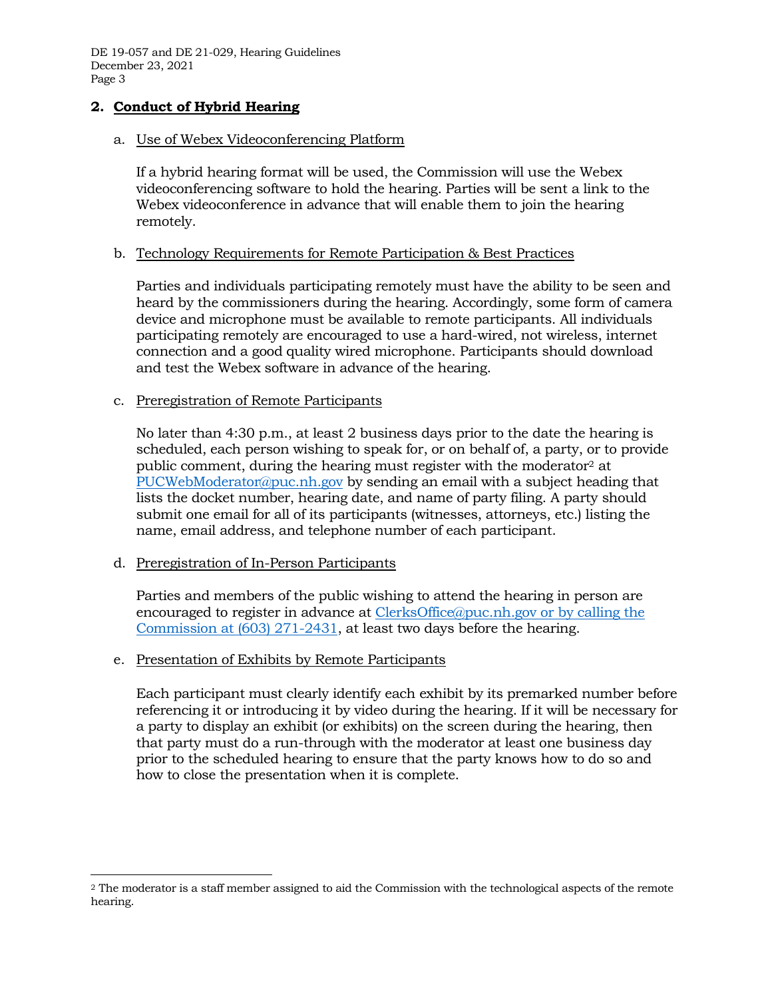# **2. Conduct of Hybrid Hearing**

#### a. Use of Webex Videoconferencing Platform

If a hybrid hearing format will be used, the Commission will use the Webex videoconferencing software to hold the hearing. Parties will be sent a link to the Webex videoconference in advance that will enable them to join the hearing remotely.

#### b. Technology Requirements for Remote Participation & Best Practices

Parties and individuals participating remotely must have the ability to be seen and heard by the commissioners during the hearing. Accordingly, some form of camera device and microphone must be available to remote participants. All individuals participating remotely are encouraged to use a hard-wired, not wireless, internet connection and a good quality wired microphone. Participants should download and test the Webex software in advance of the hearing.

#### c. Preregistration of Remote Participants

No later than 4:30 p.m., at least 2 business days prior to the date the hearing is scheduled, each person wishing to speak for, or on behalf of, a party, or to provide public comment, during the hearing must register with the moderator<sup>2</sup> at [PUCWebModerator@puc.nh.gov](mailto:PUCWebModerator@puc.nh.gov) by sending an email with a subject heading that lists the docket number, hearing date, and name of party filing. A party should submit one email for all of its participants (witnesses, attorneys, etc.) listing the name, email address, and telephone number of each participant.

#### d. Preregistration of In-Person Participants

Parties and members of the public wishing to attend the hearing in person are encouraged to register in advance at [ClerksOffice@puc.nh.gov](mailto:Clerks.Office@puc.nh.gov) or by calling the Commission at (603) 271-2431, at least two days before the hearing.

#### e. Presentation of Exhibits by Remote Participants

Each participant must clearly identify each exhibit by its premarked number before referencing it or introducing it by video during the hearing. If it will be necessary for a party to display an exhibit (or exhibits) on the screen during the hearing, then that party must do a run-through with the moderator at least one business day prior to the scheduled hearing to ensure that the party knows how to do so and how to close the presentation when it is complete.

<sup>2</sup> The moderator is a staff member assigned to aid the Commission with the technological aspects of the remote hearing.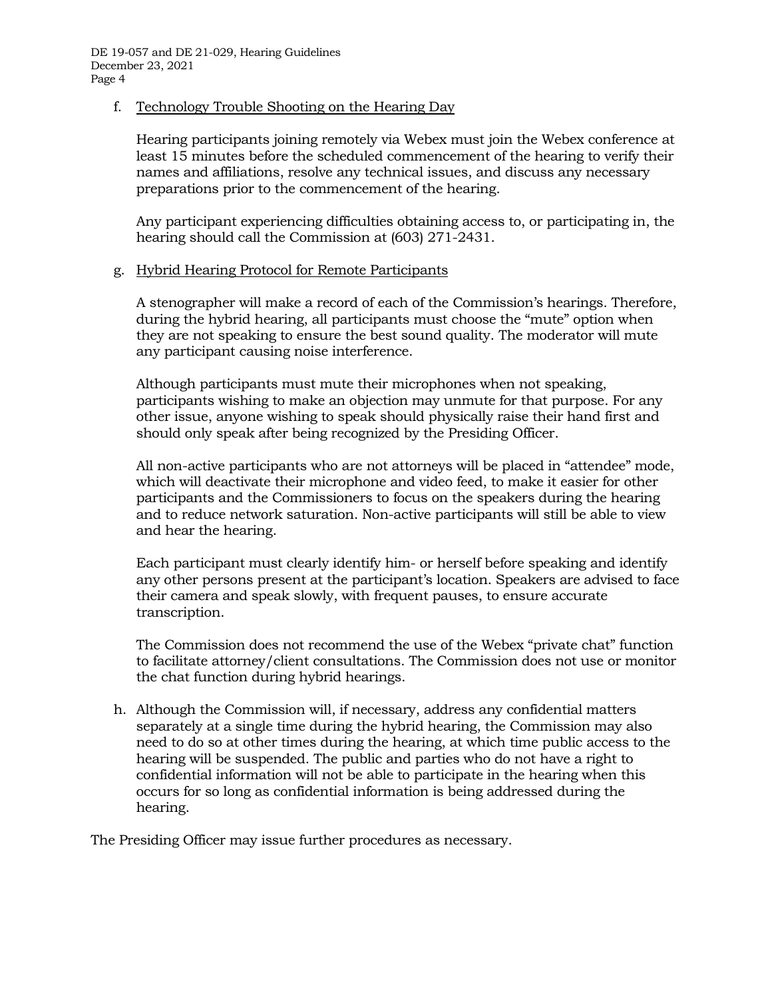f. Technology Trouble Shooting on the Hearing Day

Hearing participants joining remotely via Webex must join the Webex conference at least 15 minutes before the scheduled commencement of the hearing to verify their names and affiliations, resolve any technical issues, and discuss any necessary preparations prior to the commencement of the hearing.

Any participant experiencing difficulties obtaining access to, or participating in, the hearing should call the Commission at (603) 271-2431.

### g. Hybrid Hearing Protocol for Remote Participants

A stenographer will make a record of each of the Commission's hearings. Therefore, during the hybrid hearing, all participants must choose the "mute" option when they are not speaking to ensure the best sound quality. The moderator will mute any participant causing noise interference.

Although participants must mute their microphones when not speaking, participants wishing to make an objection may unmute for that purpose. For any other issue, anyone wishing to speak should physically raise their hand first and should only speak after being recognized by the Presiding Officer.

All non-active participants who are not attorneys will be placed in "attendee" mode, which will deactivate their microphone and video feed, to make it easier for other participants and the Commissioners to focus on the speakers during the hearing and to reduce network saturation. Non-active participants will still be able to view and hear the hearing.

Each participant must clearly identify him- or herself before speaking and identify any other persons present at the participant's location. Speakers are advised to face their camera and speak slowly, with frequent pauses, to ensure accurate transcription.

The Commission does not recommend the use of the Webex "private chat" function to facilitate attorney/client consultations. The Commission does not use or monitor the chat function during hybrid hearings.

h. Although the Commission will, if necessary, address any confidential matters separately at a single time during the hybrid hearing, the Commission may also need to do so at other times during the hearing, at which time public access to the hearing will be suspended. The public and parties who do not have a right to confidential information will not be able to participate in the hearing when this occurs for so long as confidential information is being addressed during the hearing.

The Presiding Officer may issue further procedures as necessary.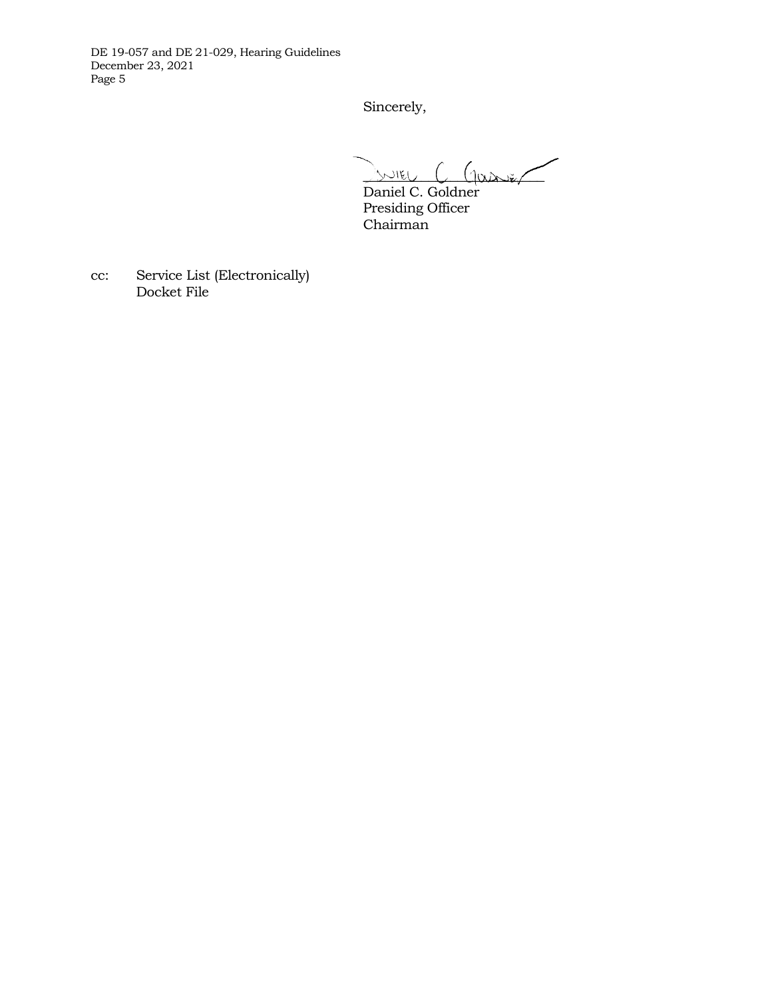Sincerely,

 $\sum_{v\in V}$   $\frac{1}{2}$   $\frac{1}{2}$   $\frac{1}{2}$   $\frac{1}{2}$   $\frac{1}{2}$   $\frac{1}{2}$   $\frac{1}{2}$   $\frac{1}{2}$   $\frac{1}{2}$   $\frac{1}{2}$   $\frac{1}{2}$   $\frac{1}{2}$   $\frac{1}{2}$   $\frac{1}{2}$   $\frac{1}{2}$   $\frac{1}{2}$   $\frac{1}{2}$   $\frac{1}{2}$   $\frac{1}{2}$   $\frac{1}{2}$   $\frac{1}{2}$ 

Daniel C. Goldner Presiding Officer Chairman

cc: Service List (Electronically) Docket File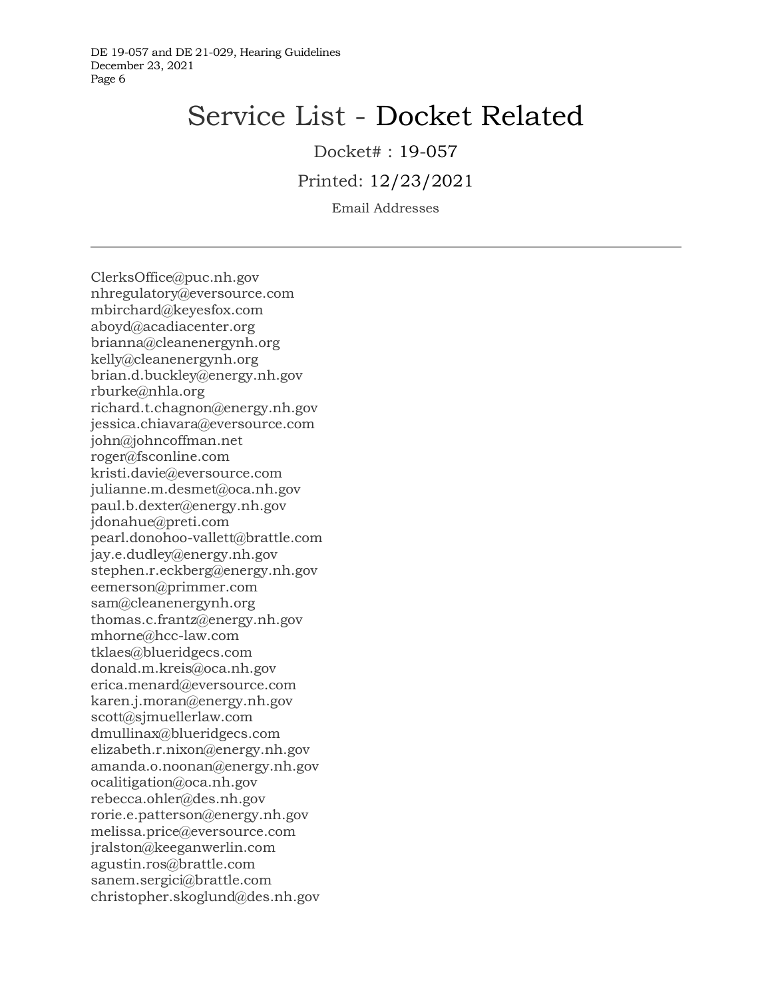# Service List - Docket Related

Docket# : 19-057

Printed: 12/23/2021

Email Addresses

ClerksOffice@puc.nh.gov nhregulatory@eversource.com mbirchard@keyesfox.com aboyd@acadiacenter.org brianna@cleanenergynh.org kelly@cleanenergynh.org brian.d.buckley@energy.nh.gov rburke@nhla.org richard.t.chagnon@energy.nh.gov jessica.chiavara@eversource.com john@johncoffman.net roger@fsconline.com kristi.davie@eversource.com julianne.m.desmet@oca.nh.gov paul.b.dexter@energy.nh.gov jdonahue@preti.com pearl.donohoo-vallett@brattle.com jay.e.dudley@energy.nh.gov stephen.r.eckberg@energy.nh.gov eemerson@primmer.com sam@cleanenergynh.org thomas.c.frantz@energy.nh.gov mhorne@hcc-law.com tklaes@blueridgecs.com donald.m.kreis@oca.nh.gov erica.menard@eversource.com karen.j.moran@energy.nh.gov scott@sjmuellerlaw.com dmullinax@blueridgecs.com elizabeth.r.nixon@energy.nh.gov amanda.o.noonan@energy.nh.gov ocalitigation@oca.nh.gov rebecca.ohler@des.nh.gov rorie.e.patterson@energy.nh.gov melissa.price@eversource.com jralston@keeganwerlin.com agustin.ros@brattle.com sanem.sergici@brattle.com christopher.skoglund@des.nh.gov